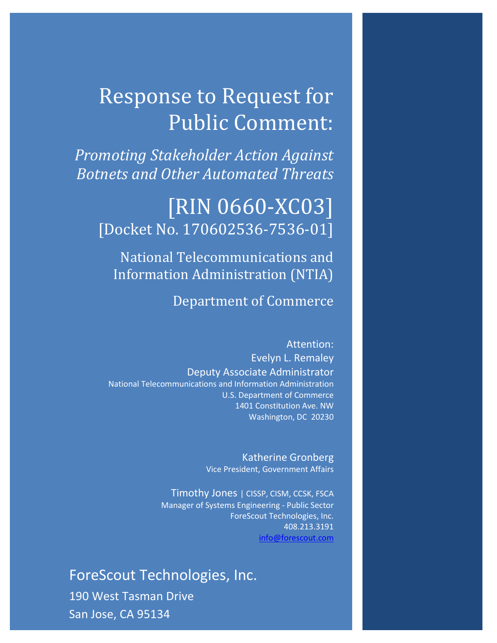# Response to Request for Public Comment:

*Promoting Stakeholder Action Against Botnets and Other Automated Threats*

# [RIN 0660-XC03] [Docket No. 170602536-7536-01]

National Telecommunications and Information Administration (NTIA)

## Department of Commerce

Attention: Evelyn L. Remaley Deputy Associate Administrator National Telecommunications and Information Administration U.S. Department of Commerce 1401 Constitution Ave. NW Washington, DC 20230

> Katherine Gronberg Vice President, Government Affairs

Timothy Jones | CISSP, CISM, CCSK, FSCA Manager of Systems Engineering - Public Sector ForeScout Technologies, Inc. 408.213.3191 [info@forescout.com](mailto:info@forescout.com)

1 ForeScout Technologies, Inc. 190 West Tasman Drive San Jose, CA 95134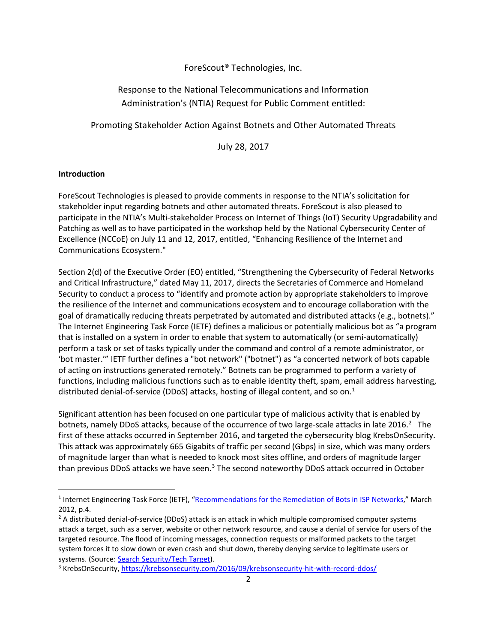### ForeScout® Technologies, Inc.

### Response to the National Telecommunications and Information Administration's (NTIA) Request for Public Comment entitled:

Promoting Stakeholder Action Against Botnets and Other Automated Threats

July 28, 2017

#### **Introduction**

ForeScout Technologies is pleased to provide comments in response to the NTIA's solicitation for stakeholder input regarding botnets and other automated threats. ForeScout is also pleased to participate in the NTIA's Multi-stakeholder Process on Internet of Things (IoT) Security Upgradability and Patching as well as to have participated in the workshop held by the National Cybersecurity Center of Excellence (NCCoE) on July 11 and 12, 2017, entitled, "Enhancing Resilience of the Internet and Communications Ecosystem."

Section 2(d) of the Executive Order (EO) entitled, "Strengthening the Cybersecurity of Federal Networks and Critical Infrastructure," dated May 11, 2017, directs the Secretaries of Commerce and Homeland Security to conduct a process to "identify and promote action by appropriate stakeholders to improve the resilience of the Internet and communications ecosystem and to encourage collaboration with the goal of dramatically reducing threats perpetrated by automated and distributed attacks (e.g., botnets)." The Internet Engineering Task Force (IETF) defines a malicious or potentially malicious bot as "a program that is installed on a system in order to enable that system to automatically (or semi-automatically) perform a task or set of tasks typically under the command and control of a remote administrator, or 'bot master.'" IETF further defines a "bot network" ("botnet") as "a concerted network of bots capable of acting on instructions generated remotely." Botnets can be programmed to perform a variety of functions, including malicious functions such as to enable identity theft, spam, email address harvesting, distributed denial-of-service (DDoS) attacks, hosting of illegal content, and so on.<sup>[1](#page-1-0)</sup>

Significant attention has been focused on one particular type of malicious activity that is enabled by botnets, namely DDoS attacks, because of the occurrence of two large-scale attacks in late [2](#page-1-1)016.<sup>2</sup> The first of these attacks occurred in September 2016, and targeted the cybersecurity blog KrebsOnSecurity. This attack was approximately 665 Gigabits of traffic per second (Gbps) in size, which was many orders of magnitude larger than what is needed to knock most sites offline, and orders of magnitude larger than previous DDoS attacks we have seen.<sup>[3](#page-1-2)</sup> The second noteworthy DDoS attack occurred in October

<span id="page-1-0"></span> <sup>1</sup> Internet Engineering Task Force (IETF), ["Recommendations for the Remediation of Bots in ISP Networks,"](https://tools.ietf.org/pdf/rfc6561.pdf) March 2012, p.4.

<span id="page-1-1"></span><sup>&</sup>lt;sup>2</sup> A distributed denial-of-service (DDoS) attack is an attack in which multiple compromised computer systems attack a target, such as a server, website or other network resource, and cause a denial of service for users of the targeted resource. The flood of incoming messages, connection requests or malformed packets to the target system forces it to slow down or even crash and shut down, thereby denying service to legitimate users or systems. (Source: <u>Search Security/Tech Target</u>).<br><sup>3</sup> KrebsOnSecurity[, https://krebsonsecurity.com/2016/09/krebsonsecurity-hit-with-record-ddos/](https://krebsonsecurity.com/2016/09/krebsonsecurity-hit-with-record-ddos/)

<span id="page-1-2"></span>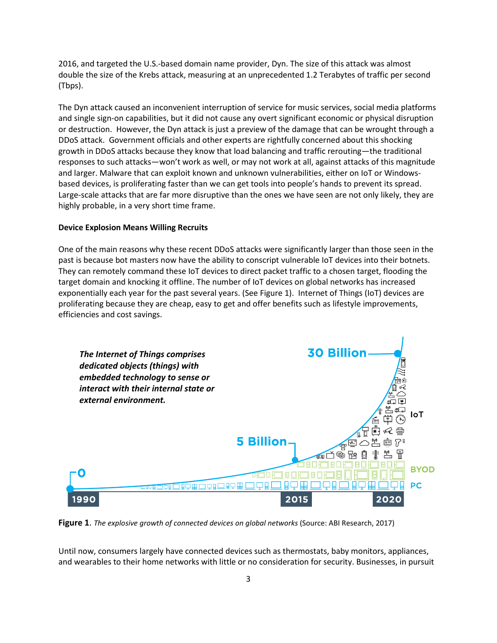2016, and targeted the U.S.-based domain name provider, Dyn. The size of this attack was almost double the size of the Krebs attack, measuring at an unprecedented 1.2 Terabytes of traffic per second (Tbps).

The Dyn attack caused an inconvenient interruption of service for music services, social media platforms and single sign-on capabilities, but it did not cause any overt significant economic or physical disruption or destruction. However, the Dyn attack is just a preview of the damage that can be wrought through a DDoS attack. Government officials and other experts are rightfully concerned about this shocking growth in DDoS attacks because they know that load balancing and traffic rerouting—the traditional responses to such attacks—won't work as well, or may not work at all, against attacks of this magnitude and larger. Malware that can exploit known and unknown vulnerabilities, either on IoT or Windowsbased devices, is proliferating faster than we can get tools into people's hands to prevent its spread. Large-scale attacks that are far more disruptive than the ones we have seen are not only likely, they are highly probable, in a very short time frame.

#### **Device Explosion Means Willing Recruits**

One of the main reasons why these recent DDoS attacks were significantly larger than those seen in the past is because bot masters now have the ability to conscript vulnerable IoT devices into their botnets. They can remotely command these IoT devices to direct packet traffic to a chosen target, flooding the target domain and knocking it offline. The number of IoT devices on global networks has increased exponentially each year for the past several years. (See Figure 1). Internet of Things (IoT) devices are proliferating because they are cheap, easy to get and offer benefits such as lifestyle improvements, efficiencies and cost savings.



**Figure 1**. *The explosive growth of connected devices on global networks* (Source: ABI Research, 2017)

Until now, consumers largely have connected devices such as thermostats, baby monitors, appliances, and wearables to their home networks with little or no consideration for security. Businesses, in pursuit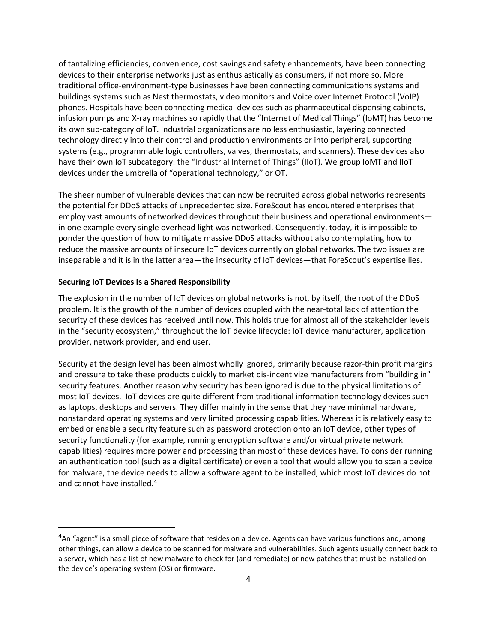of tantalizing efficiencies, convenience, cost savings and safety enhancements, have been connecting devices to their enterprise networks just as enthusiastically as consumers, if not more so. More traditional office-environment-type businesses have been connecting communications systems and buildings systems such as Nest thermostats, video monitors and Voice over Internet Protocol (VoIP) phones. Hospitals have been connecting medical devices such as pharmaceutical dispensing cabinets, infusion pumps and X-ray machines so rapidly that the "Internet of Medical Things" (IoMT) has become its own sub-category of IoT. Industrial organizations are no less enthusiastic, layering connected technology directly into their control and production environments or into peripheral, supporting systems (e.g., programmable logic controllers, valves, thermostats, and scanners). These devices also have their own IoT subcategory: the "Industrial Internet of Things" (IIoT). We group IoMT and IIoT devices under the umbrella of "operational technology," or OT.

The sheer number of vulnerable devices that can now be recruited across global networks represents the potential for DDoS attacks of unprecedented size. ForeScout has encountered enterprises that employ vast amounts of networked devices throughout their business and operational environments in one example every single overhead light was networked. Consequently, today, it is impossible to ponder the question of how to mitigate massive DDoS attacks without also contemplating how to reduce the massive amounts of insecure IoT devices currently on global networks. The two issues are inseparable and it is in the latter area—the insecurity of IoT devices—that ForeScout's expertise lies.

#### **Securing IoT Devices Is a Shared Responsibility**

The explosion in the number of IoT devices on global networks is not, by itself, the root of the DDoS problem. It is the growth of the number of devices coupled with the near-total lack of attention the security of these devices has received until now. This holds true for almost all of the stakeholder levels in the "security ecosystem," throughout the IoT device lifecycle: IoT device manufacturer, application provider, network provider, and end user.

Security at the design level has been almost wholly ignored, primarily because razor-thin profit margins and pressure to take these products quickly to market dis-incentivize manufacturers from "building in" security features. Another reason why security has been ignored is due to the physical limitations of most IoT devices. IoT devices are quite different from traditional information technology devices such as laptops, desktops and servers. They differ mainly in the sense that they have minimal hardware, nonstandard operating systems and very limited processing capabilities. Whereas it is relatively easy to embed or enable a security feature such as password protection onto an IoT device, other types of security functionality (for example, running encryption software and/or virtual private network capabilities) requires more power and processing than most of these devices have. To consider running an authentication tool (such as a digital certificate) or even a tool that would allow you to scan a device for malware, the device needs to allow a software agent to be installed, which most IoT devices do not and cannot have installed. [4](#page-3-0)

<span id="page-3-0"></span> $4$ An "agent" is a small piece of software that resides on a device. Agents can have various functions and, among other things, can allow a device to be scanned for malware and vulnerabilities. Such agents usually connect back to a server, which has a list of new malware to check for (and remediate) or new patches that must be installed on the device's operating system (OS) or firmware.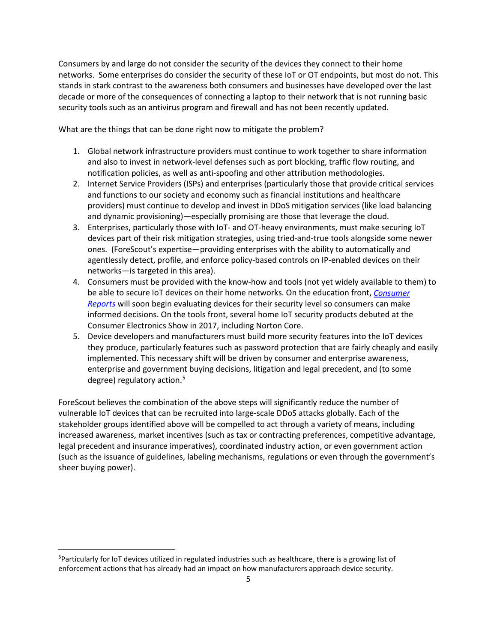Consumers by and large do not consider the security of the devices they connect to their home networks. Some enterprises do consider the security of these IoT or OT endpoints, but most do not. This stands in stark contrast to the awareness both consumers and businesses have developed over the last decade or more of the consequences of connecting a laptop to their network that is not running basic security tools such as an antivirus program and firewall and has not been recently updated.

What are the things that can be done right now to mitigate the problem?

- 1. Global network infrastructure providers must continue to work together to share information and also to invest in network-level defenses such as port blocking, traffic flow routing, and notification policies, as well as anti-spoofing and other attribution methodologies.
- 2. Internet Service Providers (ISPs) and enterprises (particularly those that provide critical services and functions to our society and economy such as financial institutions and healthcare providers) must continue to develop and invest in DDoS mitigation services (like load balancing and dynamic provisioning)—especially promising are those that leverage the cloud.
- 3. Enterprises, particularly those with IoT- and OT-heavy environments, must make securing IoT devices part of their risk mitigation strategies, using tried-and-true tools alongside some newer ones. (ForeScout's expertise—providing enterprises with the ability to automatically and agentlessly detect, profile, and enforce policy-based controls on IP-enabled devices on their networks—is targeted in this area).
- 4. Consumers must be provided with the know-how and tools (not yet widely available to them) to be able to secure IoT devices on their home networks. On the education front, *[Consumer](http://www.consumerreports.org/privacy/consumer-reports-to-begin-evaluating-products-services-for-privacy-and-data-security/)  [Reports](http://www.consumerreports.org/privacy/consumer-reports-to-begin-evaluating-products-services-for-privacy-and-data-security/)* will soon begin evaluating devices for their security level so consumers can make informed decisions. On the tools front, several home IoT security products debuted at the Consumer Electronics Show in 2017, including Norton Core.
- 5. Device developers and manufacturers must build more security features into the IoT devices they produce, particularly features such as password protection that are fairly cheaply and easily implemented. This necessary shift will be driven by consumer and enterprise awareness, enterprise and government buying decisions, litigation and legal precedent, and (to some degree) regulatory action. $5$

ForeScout believes the combination of the above steps will significantly reduce the number of vulnerable IoT devices that can be recruited into large-scale DDoS attacks globally. Each of the stakeholder groups identified above will be compelled to act through a variety of means, including increased awareness, market incentives (such as tax or contracting preferences, competitive advantage, legal precedent and insurance imperatives), coordinated industry action, or even government action (such as the issuance of guidelines, labeling mechanisms, regulations or even through the government's sheer buying power).

<span id="page-4-0"></span><sup>-&</sup>lt;br>5 <sup>5</sup>Particularly for IoT devices utilized in regulated industries such as healthcare, there is a growing list of enforcement actions that has already had an impact on how manufacturers approach device security.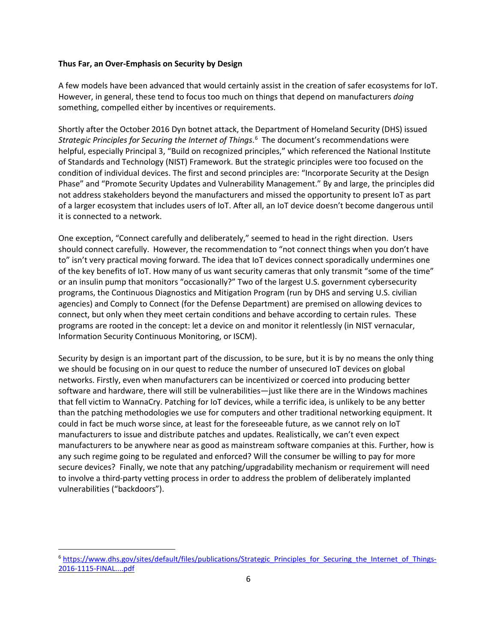#### **Thus Far, an Over-Emphasis on Security by Design**

A few models have been advanced that would certainly assist in the creation of safer ecosystems for IoT. However, in general, these tend to focus too much on things that depend on manufacturers *doing* something, compelled either by incentives or requirements.

Shortly after the October 2016 Dyn botnet attack, the Department of Homeland Security (DHS) issued *Strategic Principles for Securing the Internet of Things*. [6](#page-5-0) The document's recommendations were helpful, especially Principal 3, "Build on recognized principles," which referenced the National Institute of Standards and Technology (NIST) Framework. But the strategic principles were too focused on the condition of individual devices. The first and second principles are: "Incorporate Security at the Design Phase" and "Promote Security Updates and Vulnerability Management." By and large, the principles did not address stakeholders beyond the manufacturers and missed the opportunity to present IoT as part of a larger ecosystem that includes users of IoT. After all, an IoT device doesn't become dangerous until it is connected to a network.

One exception, "Connect carefully and deliberately," seemed to head in the right direction. Users should connect carefully. However, the recommendation to "not connect things when you don't have to" isn't very practical moving forward. The idea that IoT devices connect sporadically undermines one of the key benefits of IoT. How many of us want security cameras that only transmit "some of the time" or an insulin pump that monitors "occasionally?" Two of the largest U.S. government cybersecurity programs, the Continuous Diagnostics and Mitigation Program (run by DHS and serving U.S. civilian agencies) and Comply to Connect (for the Defense Department) are premised on allowing devices to connect, but only when they meet certain conditions and behave according to certain rules. These programs are rooted in the concept: let a device on and monitor it relentlessly (in NIST vernacular, Information Security Continuous Monitoring, or ISCM).

Security by design is an important part of the discussion, to be sure, but it is by no means the only thing we should be focusing on in our quest to reduce the number of unsecured IoT devices on global networks. Firstly, even when manufacturers can be incentivized or coerced into producing better software and hardware, there will still be vulnerabilities—just like there are in the Windows machines that fell victim to WannaCry. Patching for IoT devices, while a terrific idea, is unlikely to be any better than the patching methodologies we use for computers and other traditional networking equipment. It could in fact be much worse since, at least for the foreseeable future, as we cannot rely on IoT manufacturers to issue and distribute patches and updates. Realistically, we can't even expect manufacturers to be anywhere near as good as mainstream software companies at this. Further, how is any such regime going to be regulated and enforced? Will the consumer be willing to pay for more secure devices? Finally, we note that any patching/upgradability mechanism or requirement will need to involve a third-party vetting process in order to address the problem of deliberately implanted vulnerabilities ("backdoors").

<span id="page-5-0"></span><sup>&</sup>lt;sup>6</sup> [https://www.dhs.gov/sites/default/files/publications/Strategic\\_Principles\\_for\\_Securing\\_the\\_Internet\\_of\\_Things-](https://www.dhs.gov/sites/default/files/publications/Strategic_Principles_for_Securing_the_Internet_of_Things-2016-1115-FINAL....pdf)[2016-1115-FINAL....pdf](https://www.dhs.gov/sites/default/files/publications/Strategic_Principles_for_Securing_the_Internet_of_Things-2016-1115-FINAL....pdf)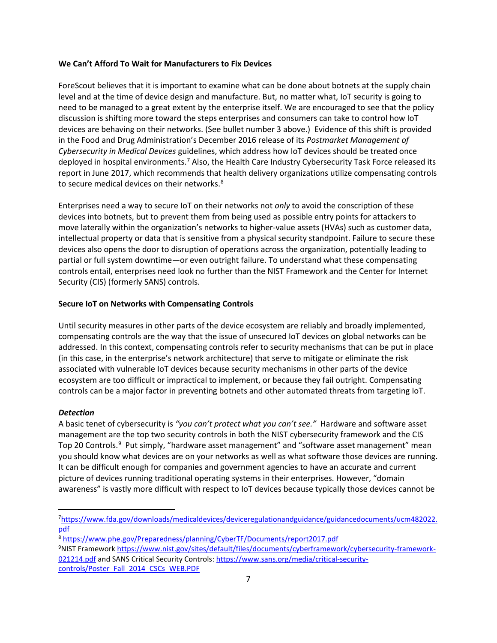#### **We Can't Afford To Wait for Manufacturers to Fix Devices**

ForeScout believes that it is important to examine what can be done about botnets at the supply chain level and at the time of device design and manufacture. But, no matter what, IoT security is going to need to be managed to a great extent by the enterprise itself. We are encouraged to see that the policy discussion is shifting more toward the steps enterprises and consumers can take to control how IoT devices are behaving on their networks. (See bullet number 3 above.) Evidence of this shift is provided in the Food and Drug Administration's December 2016 release of its *Postmarket Management of Cybersecurity in Medical Devices* guidelines, which address how IoT devices should be treated once deployed in hospital environments.<sup>[7](#page-6-0)</sup> Also, the Health Care Industry Cybersecurity Task Force released its report in June 2017, which recommends that health delivery organizations utilize compensating controls to secure medical devices on their networks.<sup>[8](#page-6-1)</sup>

Enterprises need a way to secure IoT on their networks not *only* to avoid the conscription of these devices into botnets, but to prevent them from being used as possible entry points for attackers to move laterally within the organization's networks to higher-value assets (HVAs) such as customer data, intellectual property or data that is sensitive from a physical security standpoint. Failure to secure these devices also opens the door to disruption of operations across the organization, potentially leading to partial or full system downtime—or even outright failure. To understand what these compensating controls entail, enterprises need look no further than the NIST Framework and the Center for Internet Security (CIS) (formerly SANS) controls.

#### **Secure IoT on Networks with Compensating Controls**

Until security measures in other parts of the device ecosystem are reliably and broadly implemented, compensating controls are the way that the issue of unsecured IoT devices on global networks can be addressed. In this context, compensating controls refer to security mechanisms that can be put in place (in this case, in the enterprise's network architecture) that serve to mitigate or eliminate the risk associated with vulnerable IoT devices because security mechanisms in other parts of the device ecosystem are too difficult or impractical to implement, or because they fail outright. Compensating controls can be a major factor in preventing botnets and other automated threats from targeting IoT.

#### *Detection*

A basic tenet of cybersecurity is *"you can't protect what you can't see."* Hardware and software asset management are the top two security controls in both the NIST cybersecurity framework and the CIS Top 20 Controls.<sup>[9](#page-6-2)</sup> Put simply, "hardware asset management" and "software asset management" mean you should know what devices are on your networks as well as what software those devices are running. It can be difficult enough for companies and government agencies to have an accurate and current picture of devices running traditional operating systems in their enterprises. However, "domain awareness" is vastly more difficult with respect to IoT devices because typically those devices cannot be

<span id="page-6-0"></span><sup>—&</sup>lt;br>7 [https://www.fda.gov/downloads/medicaldevices/deviceregulationandguidance/guidancedocuments/ucm482022.](https://www.fda.gov/downloads/medicaldevices/deviceregulationandguidance/guidancedocuments/ucm482022.pdf) [pdf](https://www.fda.gov/downloads/medicaldevices/deviceregulationandguidance/guidancedocuments/ucm482022.pdf)

<span id="page-6-1"></span><sup>8</sup> <https://www.phe.gov/Preparedness/planning/CyberTF/Documents/report2017.pdf>

<span id="page-6-2"></span><sup>&</sup>lt;sup>9</sup>NIST Framewor[k https://www.nist.gov/sites/default/files/documents/cyberframework/cybersecurity-framework-](https://www.nist.gov/sites/default/files/documents/cyberframework/cybersecurity-framework-021214.pdf)[021214.pdf](https://www.nist.gov/sites/default/files/documents/cyberframework/cybersecurity-framework-021214.pdf) and SANS Critical Security Controls[: https://www.sans.org/media/critical-security](https://www.sans.org/media/critical-security-controls/Poster_Fall_2014_CSCs_WEB.PDF)[controls/Poster\\_Fall\\_2014\\_CSCs\\_WEB.PDF](https://www.sans.org/media/critical-security-controls/Poster_Fall_2014_CSCs_WEB.PDF)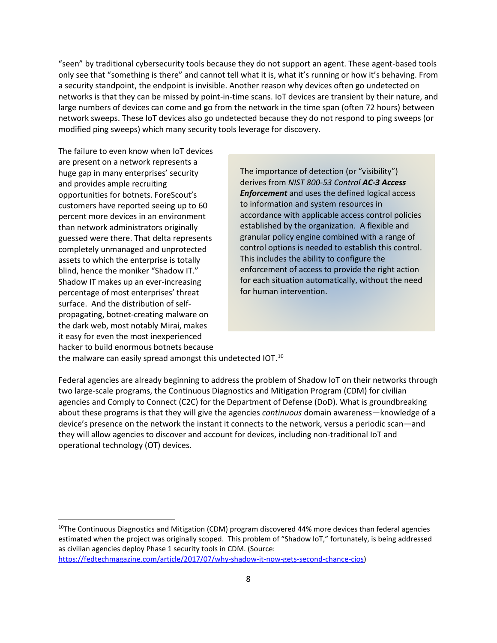"seen" by traditional cybersecurity tools because they do not support an agent. These agent-based tools only see that "something is there" and cannot tell what it is, what it's running or how it's behaving. From a security standpoint, the endpoint is invisible. Another reason why devices often go undetected on networks is that they can be missed by point-in-time scans. IoT devices are transient by their nature, and large numbers of devices can come and go from the network in the time span (often 72 hours) between network sweeps. These IoT devices also go undetected because they do not respond to ping sweeps (or modified ping sweeps) which many security tools leverage for discovery.

The failure to even know when IoT devices are present on a network represents a huge gap in many enterprises' security and provides ample recruiting opportunities for botnets. ForeScout's customers have reported seeing up to 60 percent more devices in an environment than network administrators originally guessed were there. That delta represents completely unmanaged and unprotected assets to which the enterprise is totally blind, hence the moniker "Shadow IT." Shadow IT makes up an ever-increasing percentage of most enterprises' threat surface. And the distribution of selfpropagating, botnet-creating malware on the dark web, most notably Mirai, makes it easy for even the most inexperienced hacker to build enormous botnets because

The importance of detection (or "visibility") derives from *NIST 800-53 Control AC-3 Access Enforcement* and uses the defined logical access to information and system resources in accordance with applicable access control policies established by the organization. A flexible and granular policy engine combined with a range of control options is needed to establish this control. This includes the ability to configure the enforcement of access to provide the right action for each situation automatically, without the need for human intervention.

the malware can easily spread amongst this undetected IOT.<sup>[10](#page-7-0)</sup>

Federal agencies are already beginning to address the problem of Shadow IoT on their networks through two large-scale programs, the Continuous Diagnostics and Mitigation Program (CDM) for civilian agencies and Comply to Connect (C2C) for the Department of Defense (DoD). What is groundbreaking about these programs is that they will give the agencies *continuous* domain awareness—knowledge of a device's presence on the network the instant it connects to the network, versus a periodic scan—and they will allow agencies to discover and account for devices, including non-traditional IoT and operational technology (OT) devices.

<span id="page-7-0"></span> $10$ The Continuous Diagnostics and Mitigation (CDM) program discovered 44% more devices than federal agencies estimated when the project was originally scoped. This problem of "Shadow IoT," fortunately, is being addressed as civilian agencies deploy Phase 1 security tools in CDM. (Source: [https://fedtechmagazine.com/article/2017/07/why-shadow-it-now-gets-second-chance-cios\)](https://fedtechmagazine.com/article/2017/07/why-shadow-it-now-gets-second-chance-cios)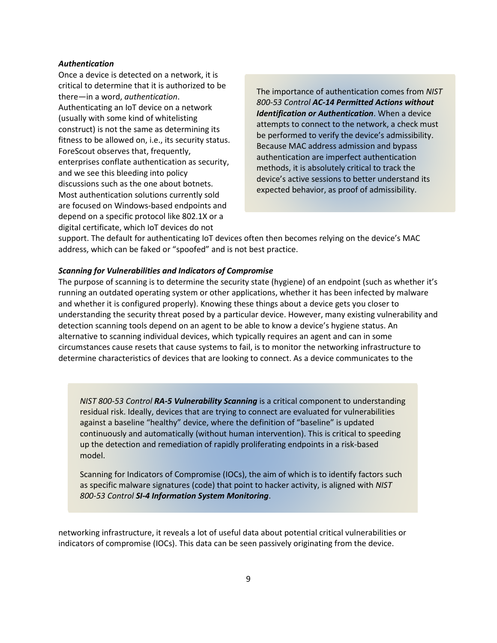#### *Authentication*

Once a device is detected on a network, it is critical to determine that it is authorized to be there—in a word, *authentication*. Authenticating an IoT device on a network (usually with some kind of whitelisting construct) is not the same as determining its fitness to be allowed on, i.e., its security status. ForeScout observes that, frequently, enterprises conflate authentication as security, and we see this bleeding into policy discussions such as the one about botnets. Most authentication solutions currently sold are focused on Windows-based endpoints and depend on a specific protocol like 802.1X or a digital certificate, which IoT devices do not

The importance of authentication comes from *NIST 800-53 Control AC-14 Permitted Actions without Identification or Authentication*. When a device attempts to connect to the network, a check must be performed to verify the device's admissibility. Because MAC address admission and bypass authentication are imperfect authentication methods, it is absolutely critical to track the device's active sessions to better understand its expected behavior, as proof of admissibility.

support. The default for authenticating IoT devices often then becomes relying on the device's MAC address, which can be faked or "spoofed" and is not best practice.

#### *Scanning for Vulnerabilities and Indicators of Compromise*

The purpose of scanning is to determine the security state (hygiene) of an endpoint (such as whether it's running an outdated operating system or other applications, whether it has been infected by malware and whether it is configured properly). Knowing these things about a device gets you closer to understanding the security threat posed by a particular device. However, many existing vulnerability and detection scanning tools depend on an agent to be able to know a device's hygiene status. An alternative to scanning individual devices, which typically requires an agent and can in some circumstances cause resets that cause systems to fail, is to monitor the networking infrastructure to determine characteristics of devices that are looking to connect. As a device communicates to the

*NIST 800-53 Control RA-5 Vulnerability Scanning* is a critical component to understanding residual risk. Ideally, devices that are trying to connect are evaluated for vulnerabilities against a baseline "healthy" device, where the definition of "baseline" is updated continuously and automatically (without human intervention). This is critical to speeding up the detection and remediation of rapidly proliferating endpoints in a risk-based model.

Scanning for Indicators of Compromise (IOCs), the aim of which is to identify factors such as specific malware signatures (code) that point to hacker activity, is aligned with *NIST 800-53 Control SI-4 Information System Monitoring*.

networking infrastructure, it reveals a lot of useful data about potential critical vulnerabilities or indicators of compromise (IOCs). This data can be seen passively originating from the device.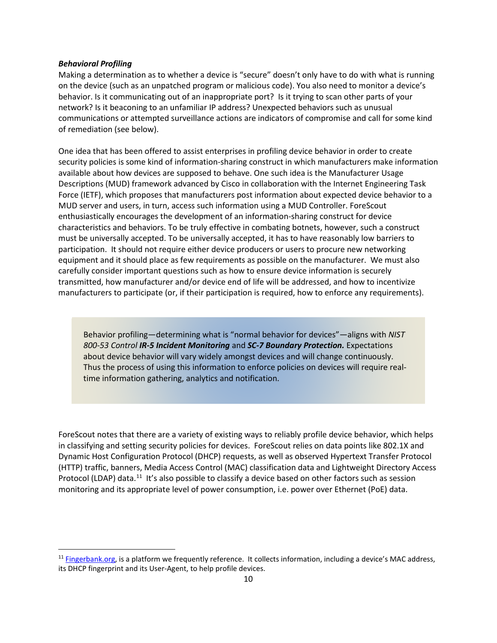#### *Behavioral Profiling*

Making a determination as to whether a device is "secure" doesn't only have to do with what is running on the device (such as an unpatched program or malicious code). You also need to monitor a device's behavior. Is it communicating out of an inappropriate port? Is it trying to scan other parts of your network? Is it beaconing to an unfamiliar IP address? Unexpected behaviors such as unusual communications or attempted surveillance actions are indicators of compromise and call for some kind of remediation (see below).

One idea that has been offered to assist enterprises in profiling device behavior in order to create security policies is some kind of information-sharing construct in which manufacturers make information available about how devices are supposed to behave. One such idea is the Manufacturer Usage Descriptions (MUD) framework advanced by Cisco in collaboration with the Internet Engineering Task Force (IETF), which proposes that manufacturers post information about expected device behavior to a MUD server and users, in turn, access such information using a MUD Controller. ForeScout enthusiastically encourages the development of an information-sharing construct for device characteristics and behaviors. To be truly effective in combating botnets, however, such a construct must be universally accepted. To be universally accepted, it has to have reasonably low barriers to participation. It should not require either device producers or users to procure new networking equipment and it should place as few requirements as possible on the manufacturer. We must also carefully consider important questions such as how to ensure device information is securely transmitted, how manufacturer and/or device end of life will be addressed, and how to incentivize manufacturers to participate (or, if their participation is required, how to enforce any requirements).

Behavior profiling—determining what is "normal behavior for devices"—aligns with *NIST 800-53 Control IR-5 Incident Monitoring* and *SC-7 Boundary Protection.* Expectations about device behavior will vary widely amongst devices and will change continuously. Thus the process of using this information to enforce policies on devices will require realtime information gathering, analytics and notification.

ForeScout notes that there are a variety of existing ways to reliably profile device behavior, which helps in classifying and setting security policies for devices. ForeScout relies on data points like 802.1X and Dynamic Host Configuration Protocol (DHCP) requests, as well as observed Hypertext Transfer Protocol (HTTP) traffic, banners, Media Access Control (MAC) classification data and Lightweight Directory Access Protocol (LDAP) data.<sup>[11](#page-9-0)</sup> It's also possible to classify a device based on other factors such as session monitoring and its appropriate level of power consumption, i.e. power over Ethernet (PoE) data.

<span id="page-9-0"></span> $11$  [Fingerbank.org,](https://fingerbank.org/) is a platform we frequently reference. It collects information, including a device's MAC address, its DHCP fingerprint and its User-Agent, to help profile devices.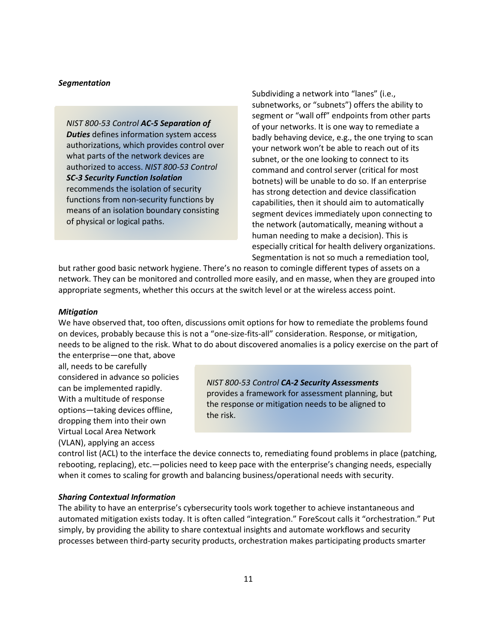#### *Segmentation*

*NIST 800-53 Control AC-5 Separation of Duties* defines information system access authorizations, which provides control over what parts of the network devices are authorized to access. *NIST 800-53 Control SC-3 Security Function Isolation* recommends the isolation of security functions from non-security functions by means of an isolation boundary consisting of physical or logical paths.

Subdividing a network into "lanes" (i.e., subnetworks, or "subnets") offers the ability to segment or "wall off" endpoints from other parts of your networks. It is one way to remediate a badly behaving device, e.g., the one trying to scan your network won't be able to reach out of its subnet, or the one looking to connect to its command and control server (critical for most botnets) will be unable to do so. If an enterprise has strong detection and device classification capabilities, then it should aim to automatically segment devices immediately upon connecting to the network (automatically, meaning without a human needing to make a decision). This is especially critical for health delivery organizations. Segmentation is not so much a remediation tool,

but rather good basic network hygiene. There's no reason to comingle different types of assets on a network. They can be monitored and controlled more easily, and en masse, when they are grouped into appropriate segments, whether this occurs at the switch level or at the wireless access point.

#### *Mitigation*

We have observed that, too often, discussions omit options for how to remediate the problems found on devices, probably because this is not a "one-size-fits-all" consideration. Response, or mitigation, needs to be aligned to the risk. What to do about discovered anomalies is a policy exercise on the part of

the enterprise—one that, above all, needs to be carefully considered in advance so policies can be implemented rapidly. With a multitude of response options—taking devices offline, dropping them into their own Virtual Local Area Network (VLAN), applying an access

*NIST 800-53 Control CA-2 Security Assessments* provides a framework for assessment planning, but the response or mitigation needs to be aligned to the risk.

control list (ACL) to the interface the device connects to, remediating found problems in place (patching, rebooting, replacing), etc.—policies need to keep pace with the enterprise's changing needs, especially when it comes to scaling for growth and balancing business/operational needs with security.

#### *Sharing Contextual Information*

The ability to have an enterprise's cybersecurity tools work together to achieve instantaneous and automated mitigation exists today. It is often called "integration." ForeScout calls it "orchestration." Put simply, by providing the ability to share contextual insights and automate workflows and security processes between third-party security products, orchestration makes participating products smarter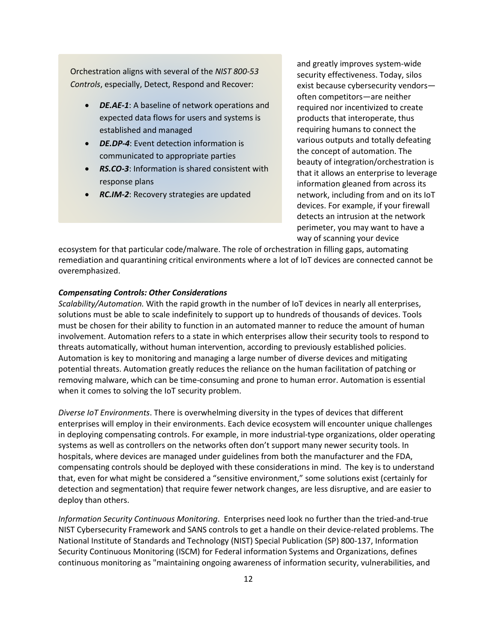Orchestration aligns with several of the *NIST 800-53 Controls*, especially, Detect, Respond and Recover:

- *DE.AE-1*: A baseline of network operations and expected data flows for users and systems is established and managed
- *DE.DP-4*: Event detection information is communicated to appropriate parties
- *RS.CO-3*: Information is shared consistent with response plans
- *RC.IM-2*: Recovery strategies are updated

and greatly improves system-wide security effectiveness. Today, silos exist because cybersecurity vendors often competitors—are neither required nor incentivized to create products that interoperate, thus requiring humans to connect the various outputs and totally defeating the concept of automation. The beauty of integration/orchestration is that it allows an enterprise to leverage information gleaned from across its network, including from and on its IoT devices. For example, if your firewall detects an intrusion at the network perimeter, you may want to have a way of scanning your device

ecosystem for that particular code/malware. The role of orchestration in filling gaps, automating remediation and quarantining critical environments where a lot of IoT devices are connected cannot be overemphasized.

#### *Compensating Controls: Other Considerations*

*Scalability/Automation.* With the rapid growth in the number of IoT devices in nearly all enterprises, solutions must be able to scale indefinitely to support up to hundreds of thousands of devices. Tools must be chosen for their ability to function in an automated manner to reduce the amount of human involvement. Automation refers to a state in which enterprises allow their security tools to respond to threats automatically, without human intervention, according to previously established policies. Automation is key to monitoring and managing a large number of diverse devices and mitigating potential threats. Automation greatly reduces the reliance on the human facilitation of patching or removing malware, which can be time-consuming and prone to human error. Automation is essential when it comes to solving the IoT security problem.

*Diverse IoT Environments*. There is overwhelming diversity in the types of devices that different enterprises will employ in their environments. Each device ecosystem will encounter unique challenges in deploying compensating controls. For example, in more industrial-type organizations, older operating systems as well as controllers on the networks often don't support many newer security tools. In hospitals, where devices are managed under guidelines from both the manufacturer and the FDA, compensating controls should be deployed with these considerations in mind. The key is to understand that, even for what might be considered a "sensitive environment," some solutions exist (certainly for detection and segmentation) that require fewer network changes, are less disruptive, and are easier to deploy than others.

*Information Security Continuous Monitoring*. Enterprises need look no further than the tried-and-true NIST Cybersecurity Framework and SANS controls to get a handle on their device-related problems. The National Institute of Standards and Technology (NIST) Special Publication (SP) 800-137, Information Security Continuous Monitoring (ISCM) for Federal information Systems and Organizations, defines continuous monitoring as "maintaining ongoing awareness of information security, vulnerabilities, and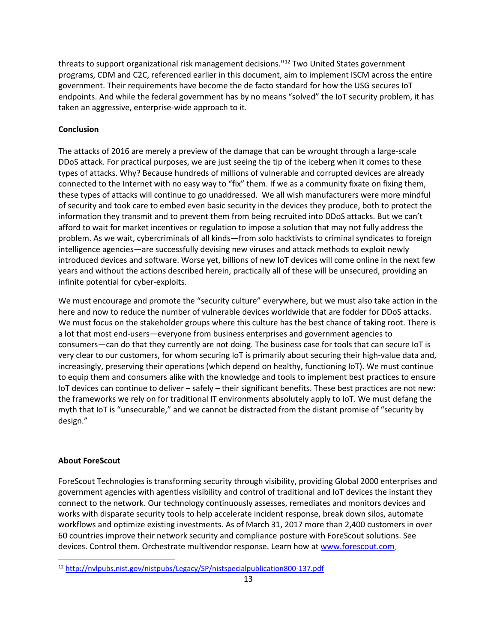threats to support organizational risk management decisions."<sup>[12](#page-12-0)</sup> Two United States government programs, CDM and C2C, referenced earlier in this document, aim to implement ISCM across the entire government. Their requirements have become the de facto standard for how the USG secures IoT endpoints. And while the federal government has by no means "solved" the IoT security problem, it has taken an aggressive, enterprise-wide approach to it.

#### **Conclusion**

The attacks of 2016 are merely a preview of the damage that can be wrought through a large-scale DDoS attack. For practical purposes, we are just seeing the tip of the iceberg when it comes to these types of attacks. Why? Because hundreds of millions of vulnerable and corrupted devices are already connected to the Internet with no easy way to "fix" them. If we as a community fixate on fixing them, these types of attacks will continue to go unaddressed. We all wish manufacturers were more mindful of security and took care to embed even basic security in the devices they produce, both to protect the information they transmit and to prevent them from being recruited into DDoS attacks. But we can't afford to wait for market incentives or regulation to impose a solution that may not fully address the problem. As we wait, cybercriminals of all kinds—from solo hacktivists to criminal syndicates to foreign intelligence agencies—are successfully devising new viruses and attack methods to exploit newly introduced devices and software. Worse yet, billions of new IoT devices will come online in the next few years and without the actions described herein, practically all of these will be unsecured, providing an infinite potential for cyber-exploits.

We must encourage and promote the "security culture" everywhere, but we must also take action in the here and now to reduce the number of vulnerable devices worldwide that are fodder for DDoS attacks. We must focus on the stakeholder groups where this culture has the best chance of taking root. There is a lot that most end-users—everyone from business enterprises and government agencies to consumers—can do that they currently are not doing. The business case for tools that can secure IoT is very clear to our customers, for whom securing IoT is primarily about securing their high-value data and, increasingly, preserving their operations (which depend on healthy, functioning IoT). We must continue to equip them and consumers alike with the knowledge and tools to implement best practices to ensure IoT devices can continue to deliver – safely – their significant benefits. These best practices are not new: the frameworks we rely on for traditional IT environments absolutely apply to IoT. We must defang the myth that IoT is "unsecurable," and we cannot be distracted from the distant promise of "security by design."

#### **About ForeScout**

ForeScout Technologies is transforming security through visibility, providing Global 2000 enterprises and government agencies with agentless visibility and control of traditional and IoT devices the instant they connect to the network. Our technology continuously assesses, remediates and monitors devices and works with disparate security tools to help accelerate incident response, break down silos, automate workflows and optimize existing investments. As of March 31, 2017 more than 2,400 customers in over 60 countries improve their network security and compliance posture with ForeScout solutions. See devices. Control them. Orchestrate multivendor response. Learn how at [www.forescout.com.](http://www.forescout.com/)

<span id="page-12-0"></span> <sup>12</sup> <http://nvlpubs.nist.gov/nistpubs/Legacy/SP/nistspecialpublication800-137.pdf>